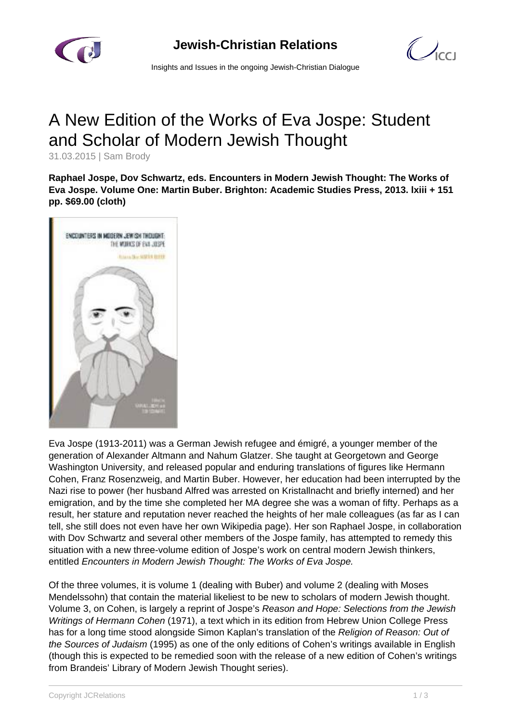

 $\mathcal{O}_{\text{cc}1}$ 

Insights and Issues in the ongoing Jewish-Christian Dialogue

## A New Edition of the Works of Eva Jospe: Student and Scholar of Modern Jewish Thought

31.03.2015 | Sam Brody

**Raphael Jospe, Dov Schwartz, eds. Encounters in Modern Jewish Thought: The Works of Eva Jospe. Volume One: Martin Buber. Brighton: Academic Studies Press, 2013. lxiii + 151 pp. \$69.00 (cloth)**



Eva Jospe (1913-2011) was a German Jewish refugee and émigré, a younger member of the generation of Alexander Altmann and Nahum Glatzer. She taught at Georgetown and George Washington University, and released popular and enduring translations of figures like Hermann Cohen, Franz Rosenzweig, and Martin Buber. However, her education had been interrupted by the Nazi rise to power (her husband Alfred was arrested on Kristallnacht and briefly interned) and her emigration, and by the time she completed her MA degree she was a woman of fifty. Perhaps as a result, her stature and reputation never reached the heights of her male colleagues (as far as I can tell, she still does not even have her own Wikipedia page). Her son Raphael Jospe, in collaboration with Dov Schwartz and several other members of the Jospe family, has attempted to remedy this situation with a new three-volume edition of Jospe's work on central modern Jewish thinkers, entitled Encounters in Modern Jewish Thought: The Works of Eva Jospe.

Of the three volumes, it is volume 1 (dealing with Buber) and volume 2 (dealing with Moses Mendelssohn) that contain the material likeliest to be new to scholars of modern Jewish thought. Volume 3, on Cohen, is largely a reprint of Jospe's Reason and Hope: Selections from the Jewish Writings of Hermann Cohen (1971), a text which in its edition from Hebrew Union College Press has for a long time stood alongside Simon Kaplan's translation of the Religion of Reason: Out of the Sources of Judaism (1995) as one of the only editions of Cohen's writings available in English (though this is expected to be remedied soon with the release of a new edition of Cohen's writings from Brandeis' Library of Modern Jewish Thought series).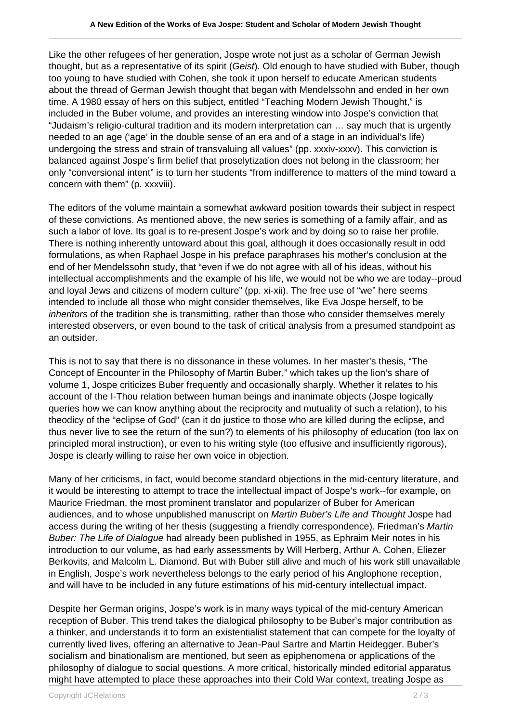Like the other refugees of her generation, Jospe wrote not just as a scholar of German Jewish thought, but as a representative of its spirit (Geist). Old enough to have studied with Buber, though too young to have studied with Cohen, she took it upon herself to educate American students about the thread of German Jewish thought that began with Mendelssohn and ended in her own time. A 1980 essay of hers on this subject, entitled "Teaching Modern Jewish Thought," is included in the Buber volume, and provides an interesting window into Jospe's conviction that "Judaism's religio-cultural tradition and its modern interpretation can … say much that is urgently needed to an age ('age' in the double sense of an era and of a stage in an individual's life) undergoing the stress and strain of transvaluing all values" (pp. xxxiv-xxxv). This conviction is balanced against Jospe's firm belief that proselytization does not belong in the classroom; her only "conversional intent" is to turn her students "from indifference to matters of the mind toward a concern with them" (p. xxxviii).

The editors of the volume maintain a somewhat awkward position towards their subject in respect of these convictions. As mentioned above, the new series is something of a family affair, and as such a labor of love. Its goal is to re-present Jospe's work and by doing so to raise her profile. There is nothing inherently untoward about this goal, although it does occasionally result in odd formulations, as when Raphael Jospe in his preface paraphrases his mother's conclusion at the end of her Mendelssohn study, that "even if we do not agree with all of his ideas, without his intellectual accomplishments and the example of his life, we would not be who we are today--proud and loyal Jews and citizens of modern culture" (pp. xi-xii). The free use of "we" here seems intended to include all those who might consider themselves, like Eva Jospe herself, to be inheritors of the tradition she is transmitting, rather than those who consider themselves merely interested observers, or even bound to the task of critical analysis from a presumed standpoint as an outsider.

This is not to say that there is no dissonance in these volumes. In her master's thesis, "The Concept of Encounter in the Philosophy of Martin Buber," which takes up the lion's share of volume 1, Jospe criticizes Buber frequently and occasionally sharply. Whether it relates to his account of the I-Thou relation between human beings and inanimate objects (Jospe logically queries how we can know anything about the reciprocity and mutuality of such a relation), to his theodicy of the "eclipse of God" (can it do justice to those who are killed during the eclipse, and thus never live to see the return of the sun?) to elements of his philosophy of education (too lax on principled moral instruction), or even to his writing style (too effusive and insufficiently rigorous), Jospe is clearly willing to raise her own voice in objection.

Many of her criticisms, in fact, would become standard objections in the mid-century literature, and it would be interesting to attempt to trace the intellectual impact of Jospe's work--for example, on Maurice Friedman, the most prominent translator and popularizer of Buber for American audiences, and to whose unpublished manuscript on Martin Buber's Life and Thought Jospe had access during the writing of her thesis (suggesting a friendly correspondence). Friedman's Martin Buber: The Life of Dialogue had already been published in 1955, as Ephraim Meir notes in his introduction to our volume, as had early assessments by Will Herberg, Arthur A. Cohen, Eliezer Berkovits, and Malcolm L. Diamond. But with Buber still alive and much of his work still unavailable in English, Jospe's work nevertheless belongs to the early period of his Anglophone reception, and will have to be included in any future estimations of his mid-century intellectual impact.

Despite her German origins, Jospe's work is in many ways typical of the mid-century American reception of Buber. This trend takes the dialogical philosophy to be Buber's major contribution as a thinker, and understands it to form an existentialist statement that can compete for the loyalty of currently lived lives, offering an alternative to Jean-Paul Sartre and Martin Heidegger. Buber's socialism and binationalism are mentioned, but seen as epiphenomena or applications of the philosophy of dialogue to social questions. A more critical, historically minded editorial apparatus might have attempted to place these approaches into their Cold War context, treating Jospe as